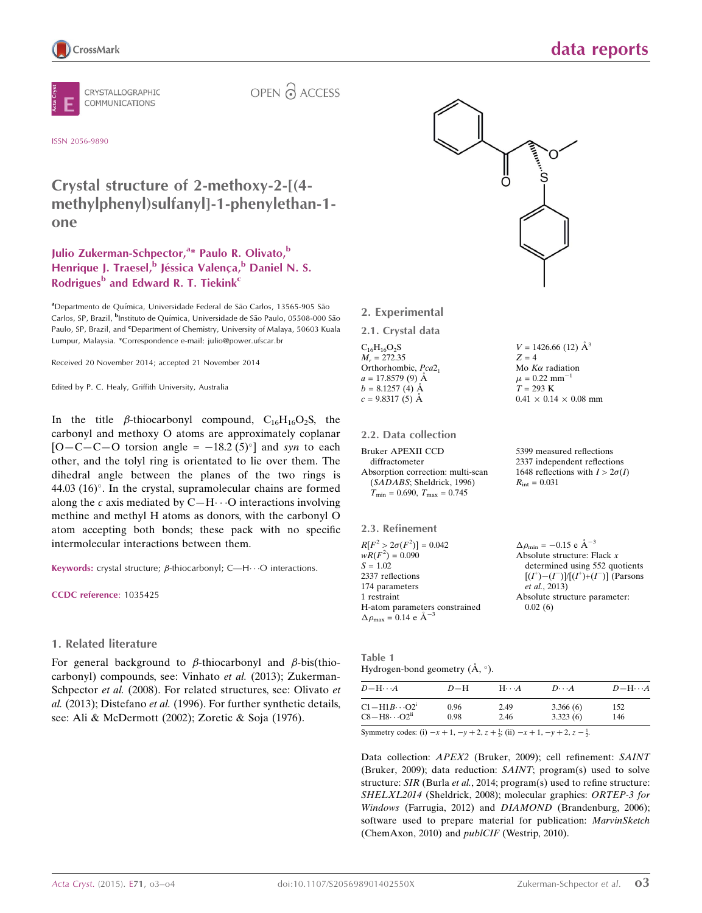

CRYSTALLOGRAPHIC COMMUNICATIONS

OPEN & ACCESS

#### ISSN 2056-9890

# Crystal structure of 2-methoxy-2-[(4 methylphenyl)sulfanyl]-1-phenylethan-1 one

## Julio Zukerman-Schpector,<sup>a\*</sup> Paulo R. Olivato,<sup>b</sup> Henrique J. Traesel,<sup>b</sup> Jéssica Valença,<sup>b</sup> Daniel N. S. Rodrigues<sup>b</sup> and Edward R. T. Tiekink<sup>c</sup>

aDepartmento de Química, Universidade Federal de São Carlos, 13565-905 São Carlos, SP, Brazil, <sup>b</sup>Instituto de Química, Universidade de São Paulo, 05508-000 São Paulo, SP, Brazil, and <sup>c</sup>Department of Chemistry, University of Malaya, 50603 Kuala Lumpur, Malaysia. \*Correspondence e-mail: julio@power.ufscar.br

Received 20 November 2014; accepted 21 November 2014

Edited by P. C. Healy, Griffith University, Australia

In the title  $\beta$ -thiocarbonyl compound, C<sub>16</sub>H<sub>16</sub>O<sub>2</sub>S, the carbonyl and methoxy O atoms are approximately coplanar  $[O - C - C - O$  torsion angle =  $-18.2 \,(5)^{\circ}]$  and syn to each other, and the tolyl ring is orientated to lie over them. The dihedral angle between the planes of the two rings is 44.03 (16) $^{\circ}$ . In the crystal, supramolecular chains are formed along the c axis mediated by  $C-H\cdots O$  interactions involving methine and methyl H atoms as donors, with the carbonyl O atom accepting both bonds; these pack with no specific intermolecular interactions between them.

Keywords: crystal structure;  $\beta$ -thiocarbonyl; C—H $\cdots$ O interactions.

CCDC reference: 1035425

#### 1. Related literature

For general background to  $\beta$ -thiocarbonyl and  $\beta$ -bis(thiocarbonyl) compounds, see: Vinhato et al. (2013); Zukerman-Schpector *et al.* (2008). For related structures, see: Olivato *et* al. (2013); Distefano et al. (1996). For further synthetic details, see: Ali & McDermott (2002); Zoretic & Soja (1976).



#### 2. Experimental

2.1. Crystal data

 $C_{16}H_{16}O_2S$  $M_r = 272.35$ Orthorhombic, Pca<sub>21</sub>  $a = 17.8579(9)$  Å  $b = 8.1257(4)$  Å  $c = 9.8317(5)$  Å

#### 2.2. Data collection

Bruker APEXII CCD diffractometer Absorption correction: multi-scan (SADABS; Sheldrick, 1996)  $T_{\text{min}} = 0.690, T_{\text{max}} = 0.745$ 

2.3. Refinement

| $R[F^2 > 2\sigma(F^2)] = 0.042$                    | $\Delta \rho_{\rm min} = -0.15$ e Å <sup>-</sup> |
|----------------------------------------------------|--------------------------------------------------|
| $wR(F^2) = 0.090$                                  | Absolute structure: 1                            |
| $S = 1.02$                                         | determined using                                 |
| 2337 reflections                                   | $[(I^+)- (I^-)]/[(I^+)+ (I^-)]$                  |
| 174 parameters                                     | et al., 2013)                                    |
| 1 restraint                                        | Absolute structure p                             |
| H-atom parameters constrained                      | 0.02(6)                                          |
| $\Delta \rho_{\text{max}} = 0.14 \text{ e A}^{-3}$ |                                                  |

Table 1 Hydrogen-bond geometry  $(\AA, \degree)$ .

| $D=H$        | $H\cdots A$  | $D\cdots A$          | $D - H \cdots A$ |
|--------------|--------------|----------------------|------------------|
| 0.96<br>0.98 | 2.49<br>2.46 | 3.366(6)<br>3.323(6) | 152<br>146       |
|              |              |                      |                  |

Data collection: APEX2 (Bruker, 2009); cell refinement: SAINT (Bruker, 2009); data reduction: SAINT; program(s) used to solve structure: SIR (Burla et al., 2014; program(s) used to refine structure: SHELXL2014 (Sheldrick, 2008); molecular graphics: ORTEP-3 for Windows (Farrugia, 2012) and DIAMOND (Brandenburg, 2006); software used to prepare material for publication: MarvinSketch (ChemAxon, 2010) and publCIF (Westrip, 2010).

 $V = 1426.66$  (12)  $\AA^3$  $Z = 4$ Mo  $K\alpha$  radiation  $\mu = 0.22$  mm<sup>-1</sup>  $T = 293 K$  $0.41 \times 0.14 \times 0.08$  mm

data reports

5399 measured reflections 2337 independent reflections 1648 reflections with  $I > 2\sigma(I)$  $R_{\text{int}} = 0.031$ 

3 Flack  $x$ 552 quotients  $\widetilde{(-1)}$  (Parsons barameter: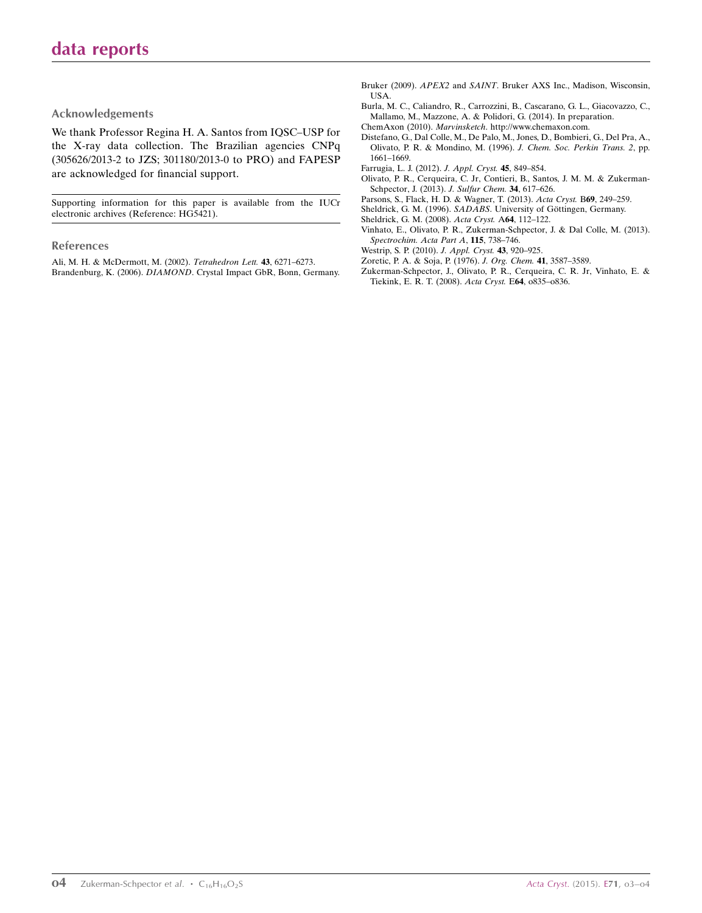#### Acknowledgements

We thank Professor Regina H. A. Santos from IQSC–USP for the X-ray data collection. The Brazilian agencies CNPq (305626/2013-2 to JZS; 301180/2013-0 to PRO) and FAPESP are acknowledged for financial support.

Supporting information for this paper is available from the IUCr electronic archives (Reference: HG5421).

#### References

[Ali, M. H. & McDermott, M. \(2002\).](https://scripts.iucr.org/cgi-bin/cr.cgi?rm=pdfbb&cnor=hg5421&bbid=BB1) Tetrahedron Lett. 43, 6271–6273. Brandenburg, K. (2006). DIAMOND[. Crystal Impact GbR, Bonn, Germany.](https://scripts.iucr.org/cgi-bin/cr.cgi?rm=pdfbb&cnor=hg5421&bbid=BB2)

- Bruker (2009). APEX2 and SAINT[. Bruker AXS Inc., Madison, Wisconsin,](https://scripts.iucr.org/cgi-bin/cr.cgi?rm=pdfbb&cnor=hg5421&bbid=BB4) [USA.](https://scripts.iucr.org/cgi-bin/cr.cgi?rm=pdfbb&cnor=hg5421&bbid=BB4)
- [Burla, M. C., Caliandro, R., Carrozzini, B., Cascarano, G. L., Giacovazzo, C.,](https://scripts.iucr.org/cgi-bin/cr.cgi?rm=pdfbb&cnor=hg5421&bbid=BB4) [Mallamo, M., Mazzone, A. & Polidori, G. \(2014\). In preparation.](https://scripts.iucr.org/cgi-bin/cr.cgi?rm=pdfbb&cnor=hg5421&bbid=BB4) ChemAxon (2010). Marvinsketch[. http://www.chemaxon.com.](https://scripts.iucr.org/cgi-bin/cr.cgi?rm=pdfbb&cnor=hg5421&bbid=BB5)
- [Distefano, G., Dal Colle, M., De Palo, M., Jones, D., Bombieri, G., Del Pra, A.,](https://scripts.iucr.org/cgi-bin/cr.cgi?rm=pdfbb&cnor=hg5421&bbid=BB6) [Olivato, P. R. & Mondino, M. \(1996\).](https://scripts.iucr.org/cgi-bin/cr.cgi?rm=pdfbb&cnor=hg5421&bbid=BB6) J. Chem. Soc. Perkin Trans. 2, pp. [1661–1669.](https://scripts.iucr.org/cgi-bin/cr.cgi?rm=pdfbb&cnor=hg5421&bbid=BB6)
- [Farrugia, L. J. \(2012\).](https://scripts.iucr.org/cgi-bin/cr.cgi?rm=pdfbb&cnor=hg5421&bbid=BB7) J. Appl. Cryst. 45, 849–854.
- [Olivato, P. R., Cerqueira, C. Jr, Contieri, B., Santos, J. M. M. & Zukerman-](https://scripts.iucr.org/cgi-bin/cr.cgi?rm=pdfbb&cnor=hg5421&bbid=BB8)[Schpector, J. \(2013\).](https://scripts.iucr.org/cgi-bin/cr.cgi?rm=pdfbb&cnor=hg5421&bbid=BB8) J. Sulfur Chem. 34, 617–626.
- [Parsons, S., Flack, H. D. & Wagner, T. \(2013\).](https://scripts.iucr.org/cgi-bin/cr.cgi?rm=pdfbb&cnor=hg5421&bbid=BB9) Acta Cryst. B69, 249–259.
- Sheldrick, G. M. (1996). SADABS. University of Göttingen, Germany.
- [Sheldrick, G. M. \(2008\).](https://scripts.iucr.org/cgi-bin/cr.cgi?rm=pdfbb&cnor=hg5421&bbid=BB11) Acta Cryst. A64, 112–122.
- [Vinhato, E., Olivato, P. R., Zukerman-Schpector, J. & Dal Colle, M. \(2013\).](https://scripts.iucr.org/cgi-bin/cr.cgi?rm=pdfbb&cnor=hg5421&bbid=BB12) [Spectrochim. Acta Part A](https://scripts.iucr.org/cgi-bin/cr.cgi?rm=pdfbb&cnor=hg5421&bbid=BB12), 115, 738–746.
- [Westrip, S. P. \(2010\).](https://scripts.iucr.org/cgi-bin/cr.cgi?rm=pdfbb&cnor=hg5421&bbid=BB13) J. Appl. Cryst. 43, 920–925.
- [Zoretic, P. A. & Soja, P. \(1976\).](https://scripts.iucr.org/cgi-bin/cr.cgi?rm=pdfbb&cnor=hg5421&bbid=BB14) J. Org. Chem. 41, 3587–3589.
- [Zukerman-Schpector, J., Olivato, P. R., Cerqueira, C. R. Jr, Vinhato, E. &](https://scripts.iucr.org/cgi-bin/cr.cgi?rm=pdfbb&cnor=hg5421&bbid=BB15) [Tiekink, E. R. T. \(2008\).](https://scripts.iucr.org/cgi-bin/cr.cgi?rm=pdfbb&cnor=hg5421&bbid=BB15) Acta Cryst. E64, o835–o836.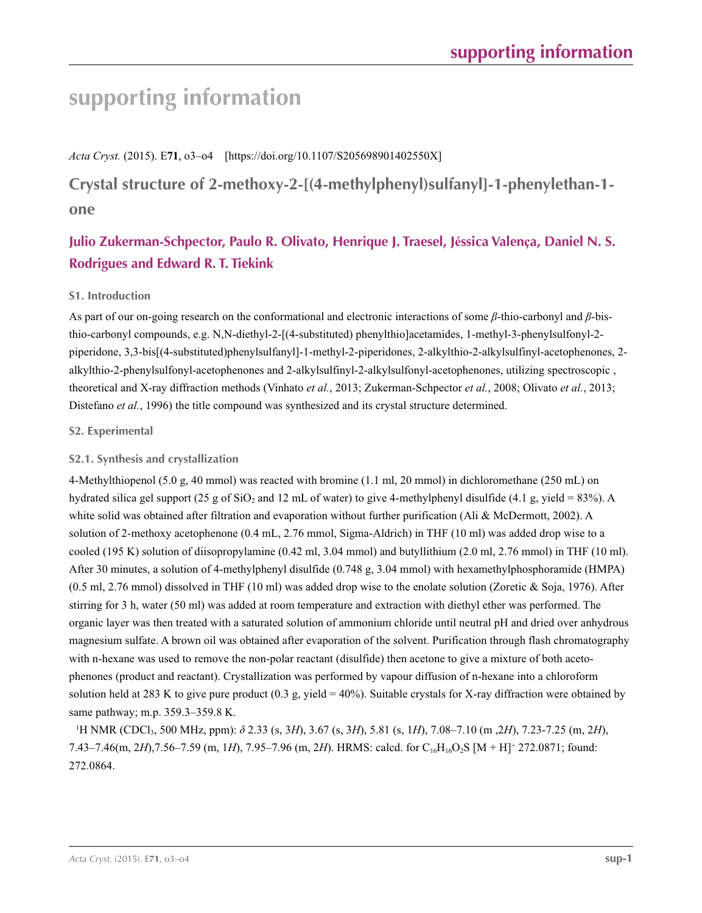# **supporting information**

*Acta Cryst.* (2015). E**71**, o3–o4 [https://doi.org/10.1107/S205698901402550X]

**Crystal structure of 2-methoxy-2-[(4-methylphenyl)sulfanyl]-1-phenylethan-1 one**

# **Julio Zukerman-Schpector, Paulo R. Olivato, Henrique J. Traesel, Jéssica Valença, Daniel N. S. Rodrigues and Edward R. T. Tiekink**

## **S1. Introduction**

As part of our on-going research on the conformational and electronic interactions of some *β*-thio-carbonyl and *β*-bisthio-carbonyl compounds, e.g. N,N-diethyl-2-[(4-substituted) phenylthio]acetamides, 1-methyl-3-phenylsulfonyl-2 piperidone, 3,3-bis[(4-substituted)phenylsulfanyl]-1-methyl-2-piperidones, 2-alkylthio-2-alkylsulfinyl-acetophenones, 2 alkylthio-2-phenylsulfonyl-acetophenones and 2-alkylsulfinyl-2-alkylsulfonyl-acetophenones, utilizing spectroscopic , theoretical and X-ray diffraction methods (Vinhato *et al.*, 2013; Zukerman-Schpector *et al.*, 2008; Olivato *et al.*, 2013; Distefano *et al.*, 1996) the title compound was synthesized and its crystal structure determined.

### **S2. Experimental**

## **S2.1. Synthesis and crystallization**

4-Methylthiopenol (5.0 g, 40 mmol) was reacted with bromine (1.1 ml, 20 mmol) in dichloromethane (250 mL) on hydrated silica gel support (25 g of  $SiO_2$  and 12 mL of water) to give 4-methylphenyl disulfide (4.1 g, yield = 83%). A white solid was obtained after filtration and evaporation without further purification (Ali & McDermott, 2002). A solution of 2-methoxy acetophenone (0.4 mL, 2.76 mmol, Sigma-Aldrich) in THF (10 ml) was added drop wise to a cooled (195 K) solution of diisopropylamine (0.42 ml, 3.04 mmol) and butyllithium (2.0 ml, 2.76 mmol) in THF (10 ml). After 30 minutes, a solution of 4-methylphenyl disulfide (0.748 g, 3.04 mmol) with hexamethylphosphoramide (HMPA)  $(0.5 \text{ ml}, 2.76 \text{ mmol})$  dissolved in THF  $(10 \text{ ml})$  was added drop wise to the enolate solution (Zoretic & Soja, 1976). After stirring for 3 h, water (50 ml) was added at room temperature and extraction with diethyl ether was performed. The organic layer was then treated with a saturated solution of ammonium chloride until neutral pH and dried over anhydrous magnesium sulfate. A brown oil was obtained after evaporation of the solvent. Purification through flash chromatography with n-hexane was used to remove the non-polar reactant (disulfide) then acetone to give a mixture of both acetophenones (product and reactant). Crystallization was performed by vapour diffusion of n-hexane into a chloroform solution held at 283 K to give pure product  $(0.3 \text{ g}, \text{yield} = 40\%)$ . Suitable crystals for X-ray diffraction were obtained by same pathway; m.p. 359.3–359.8 K.

1 H NMR (CDCl3, 500 MHz, ppm): *δ* 2.33 (s, 3*H*), 3.67 (s, 3*H*), 5.81 (s, 1*H*), 7.08–7.10 (m ,2*H*), 7.23-7.25 (m, 2*H*), 7.43–7.46(m, 2*H*),7.56–7.59 (m, 1*H*), 7.95–7.96 (m, 2*H*). HRMS: calcd. for C16H16O2S [M + H]+ 272.0871; found: 272.0864.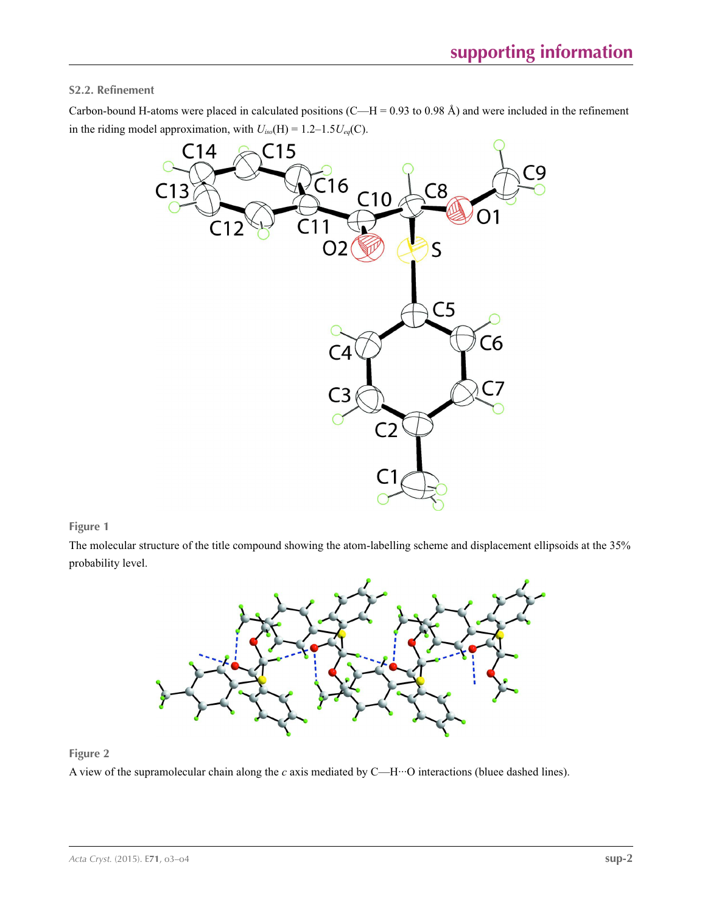### **S2.2. Refinement**

Carbon-bound H-atoms were placed in calculated positions  $(C-H = 0.93$  to 0.98 Å) and were included in the refinement in the riding model approximation, with  $U_{iso}(H) = 1.2-1.5U_{eq}(C)$ .



#### **Figure 1**

The molecular structure of the title compound showing the atom-labelling scheme and displacement ellipsoids at the 35% probability level.



## **Figure 2**

A view of the supramolecular chain along the *c* axis mediated by C—H···O interactions (bluee dashed lines).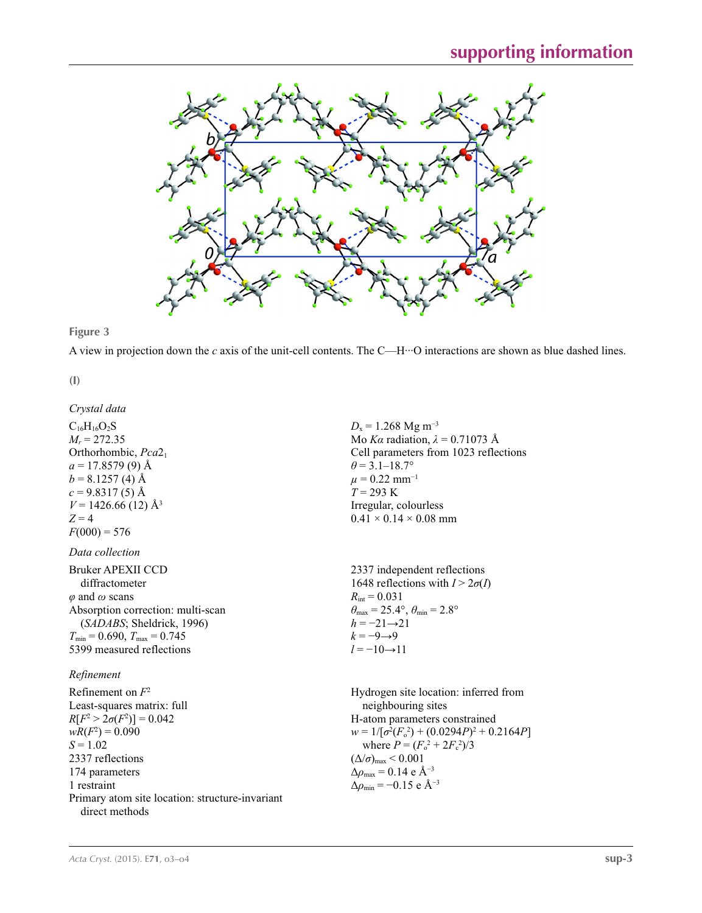

**Figure 3**

A view in projection down the *c* axis of the unit-cell contents. The C—H···O interactions are shown as blue dashed lines.

**(I)** 

*Crystal data*

 $C_{16}H_{16}O_2S$  $M_r = 272.35$ Orthorhombic, *Pca*21  $a = 17.8579(9)$  Å  $b = 8.1257(4)$  Å  $c = 9.8317(5)$  Å  $V = 1426.66(12)$  Å<sup>3</sup>  $Z = 4$  $F(000) = 576$ *Data collection* Bruker APEXII CCD diffractometer *φ* and *ω* scans Absorption correction: multi-scan (*SADABS*; Sheldrick, 1996)  $T_{\text{min}} = 0.690, T_{\text{max}} = 0.745$ 5399 measured reflections

#### *Refinement*

Refinement on *F*<sup>2</sup> Least-squares matrix: full *R*[ $F^2 > 2\sigma(F^2)$ ] = 0.042  $wR(F^2) = 0.090$  $S = 1.02$ 2337 reflections 174 parameters 1 restraint Primary atom site location: structure-invariant direct methods

 $D_x = 1.268$  Mg m<sup>-3</sup> Mo *Kα* radiation, *λ* = 0.71073 Å Cell parameters from 1023 reflections  $\theta$  = 3.1–18.7°  $\mu = 0.22$  mm<sup>-1</sup>  $T = 293 \text{ K}$ Irregular, colourless  $0.41 \times 0.14 \times 0.08$  mm

2337 independent reflections 1648 reflections with  $I > 2\sigma(I)$  $R_{\text{int}} = 0.031$  $\theta_{\text{max}} = 25.4^{\circ}, \theta_{\text{min}} = 2.8^{\circ}$  $h = -21 \rightarrow 21$  $k = -9 \rightarrow 9$  $l = -10 \rightarrow 11$ 

Hydrogen site location: inferred from neighbouring sites H-atom parameters constrained  $w = 1/[\sigma^2 (F_o^2) + (0.0294P)^2 + 0.2164P]$ where  $P = (F_o^2 + 2F_c^2)/3$  $(\Delta/\sigma)_{\text{max}}$  < 0.001  $Δρ<sub>max</sub> = 0.14 e Å<sup>-3</sup>$  $\Delta \rho_{\rm min} = -0.15$  e Å<sup>-3</sup>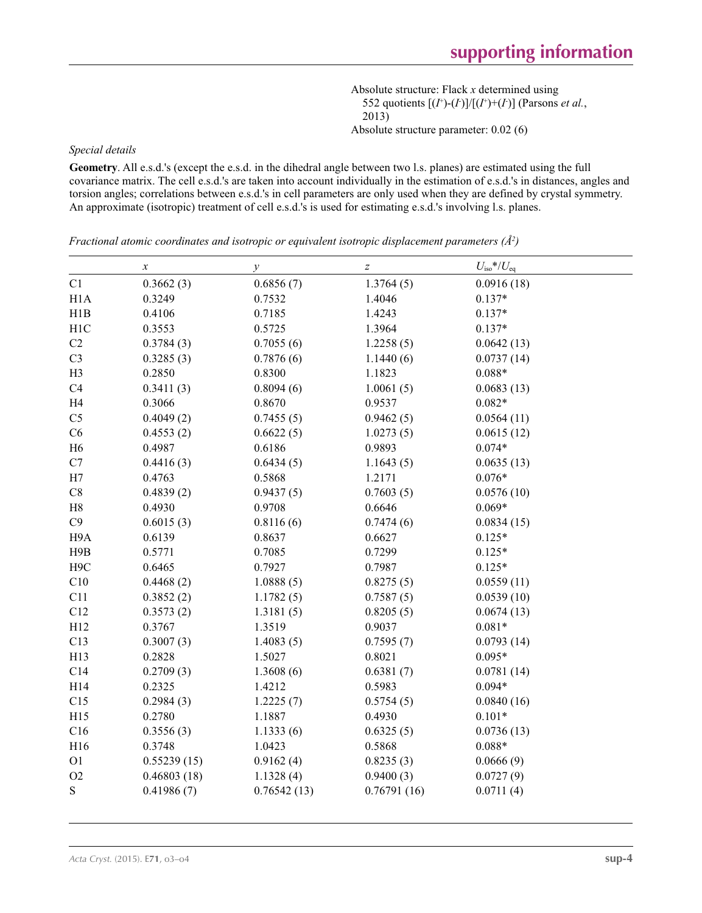Absolute structure: Flack *x* determined using 552 quotients  $[(I^+)- (I^+)]/[(I^+)+ (I^+)]$  (Parsons *et al.*, 2013) Absolute structure parameter: 0.02 (6)

#### *Special details*

**Geometry**. All e.s.d.'s (except the e.s.d. in the dihedral angle between two l.s. planes) are estimated using the full covariance matrix. The cell e.s.d.'s are taken into account individually in the estimation of e.s.d.'s in distances, angles and torsion angles; correlations between e.s.d.'s in cell parameters are only used when they are defined by crystal symmetry. An approximate (isotropic) treatment of cell e.s.d.'s is used for estimating e.s.d.'s involving l.s. planes.

*Fractional atomic coordinates and isotropic or equivalent isotropic displacement parameters (Å<sup>2</sup>)* 

|                  | $\boldsymbol{\chi}$ | $\mathcal{Y}$ | $\boldsymbol{Z}$ | $U_{\text{iso}}$ */ $U_{\text{eq}}$ |
|------------------|---------------------|---------------|------------------|-------------------------------------|
| C1               | 0.3662(3)           | 0.6856(7)     | 1.3764(5)        | 0.0916(18)                          |
| H <sub>1</sub> A | 0.3249              | 0.7532        | 1.4046           | $0.137*$                            |
| H1B              | 0.4106              | 0.7185        | 1.4243           | $0.137*$                            |
| H <sub>1</sub> C | 0.3553              | 0.5725        | 1.3964           | $0.137*$                            |
| C2               | 0.3784(3)           | 0.7055(6)     | 1.2258(5)        | 0.0642(13)                          |
| C <sub>3</sub>   | 0.3285(3)           | 0.7876(6)     | 1.1440(6)        | 0.0737(14)                          |
| H <sub>3</sub>   | 0.2850              | 0.8300        | 1.1823           | $0.088*$                            |
| C4               | 0.3411(3)           | 0.8094(6)     | 1.0061(5)        | 0.0683(13)                          |
| H4               | 0.3066              | 0.8670        | 0.9537           | $0.082*$                            |
| C <sub>5</sub>   | 0.4049(2)           | 0.7455(5)     | 0.9462(5)        | 0.0564(11)                          |
| C6               | 0.4553(2)           | 0.6622(5)     | 1.0273(5)        | 0.0615(12)                          |
| H <sub>6</sub>   | 0.4987              | 0.6186        | 0.9893           | $0.074*$                            |
| C7               | 0.4416(3)           | 0.6434(5)     | 1.1643(5)        | 0.0635(13)                          |
| H7               | 0.4763              | 0.5868        | 1.2171           | $0.076*$                            |
| $\rm{C}8$        | 0.4839(2)           | 0.9437(5)     | 0.7603(5)        | 0.0576(10)                          |
| $\rm H8$         | 0.4930              | 0.9708        | 0.6646           | $0.069*$                            |
| C9               | 0.6015(3)           | 0.8116(6)     | 0.7474(6)        | 0.0834(15)                          |
| H9A              | 0.6139              | 0.8637        | 0.6627           | $0.125*$                            |
| H9B              | 0.5771              | 0.7085        | 0.7299           | $0.125*$                            |
| H <sub>9</sub> C | 0.6465              | 0.7927        | 0.7987           | $0.125*$                            |
| C10              | 0.4468(2)           | 1.0888(5)     | 0.8275(5)        | 0.0559(11)                          |
| C11              | 0.3852(2)           | 1.1782(5)     | 0.7587(5)        | 0.0539(10)                          |
| C12              | 0.3573(2)           | 1.3181(5)     | 0.8205(5)        | 0.0674(13)                          |
| H12              | 0.3767              | 1.3519        | 0.9037           | $0.081*$                            |
| C13              | 0.3007(3)           | 1.4083(5)     | 0.7595(7)        | 0.0793(14)                          |
| H13              | 0.2828              | 1.5027        | 0.8021           | $0.095*$                            |
| C14              | 0.2709(3)           | 1.3608(6)     | 0.6381(7)        | 0.0781(14)                          |
| H14              | 0.2325              | 1.4212        | 0.5983           | $0.094*$                            |
| C15              | 0.2984(3)           | 1.2225(7)     | 0.5754(5)        | 0.0840(16)                          |
| H15              | 0.2780              | 1.1887        | 0.4930           | $0.101*$                            |
| C16              | 0.3556(3)           | 1.1333(6)     | 0.6325(5)        | 0.0736(13)                          |
| H16              | 0.3748              | 1.0423        | 0.5868           | $0.088*$                            |
| O <sub>1</sub>   | 0.55239(15)         | 0.9162(4)     | 0.8235(3)        | 0.0666(9)                           |
| $\rm O2$         | 0.46803(18)         | 1.1328(4)     | 0.9400(3)        | 0.0727(9)                           |
| ${\bf S}$        | 0.41986(7)          | 0.76542(13)   | 0.76791(16)      | 0.0711(4)                           |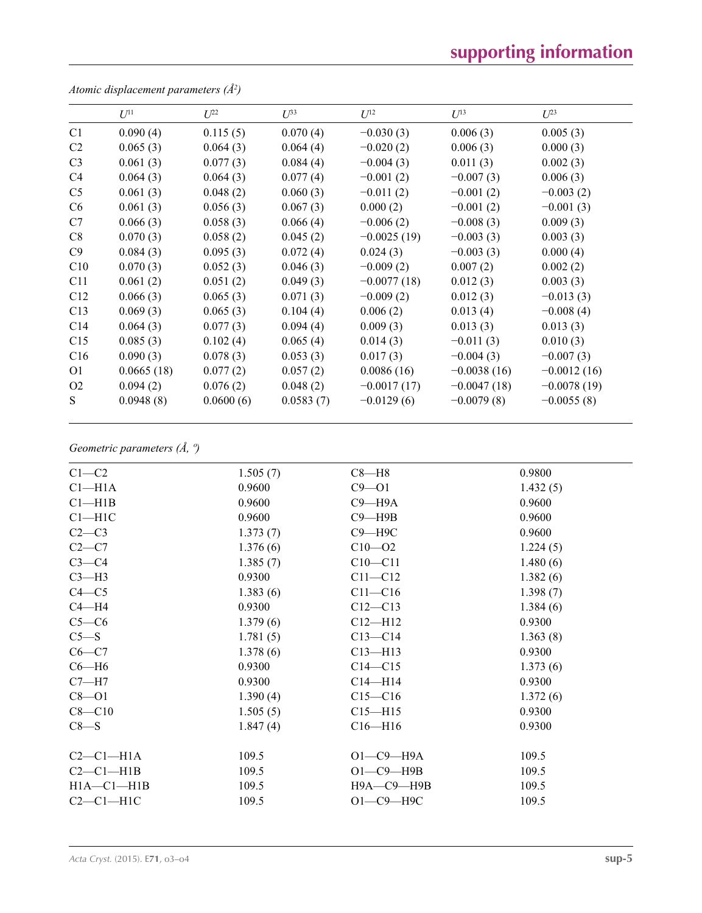# **supporting information**

|                | $U^{11}$   | $U^{22}$  | $U^{33}$  | $U^{12}$      | $U^{13}$      | $U^{23}$      |
|----------------|------------|-----------|-----------|---------------|---------------|---------------|
| C <sub>1</sub> | 0.090(4)   | 0.115(5)  | 0.070(4)  | $-0.030(3)$   | 0.006(3)      | 0.005(3)      |
| C <sub>2</sub> | 0.065(3)   | 0.064(3)  | 0.064(4)  | $-0.020(2)$   | 0.006(3)      | 0.000(3)      |
| C <sub>3</sub> | 0.061(3)   | 0.077(3)  | 0.084(4)  | $-0.004(3)$   | 0.011(3)      | 0.002(3)      |
| C <sub>4</sub> | 0.064(3)   | 0.064(3)  | 0.077(4)  | $-0.001(2)$   | $-0.007(3)$   | 0.006(3)      |
| C <sub>5</sub> | 0.061(3)   | 0.048(2)  | 0.060(3)  | $-0.011(2)$   | $-0.001(2)$   | $-0.003(2)$   |
| C6             | 0.061(3)   | 0.056(3)  | 0.067(3)  | 0.000(2)      | $-0.001(2)$   | $-0.001(3)$   |
| C7             | 0.066(3)   | 0.058(3)  | 0.066(4)  | $-0.006(2)$   | $-0.008(3)$   | 0.009(3)      |
| C8             | 0.070(3)   | 0.058(2)  | 0.045(2)  | $-0.0025(19)$ | $-0.003(3)$   | 0.003(3)      |
| C9             | 0.084(3)   | 0.095(3)  | 0.072(4)  | 0.024(3)      | $-0.003(3)$   | 0.000(4)      |
| C10            | 0.070(3)   | 0.052(3)  | 0.046(3)  | $-0.009(2)$   | 0.007(2)      | 0.002(2)      |
| C11            | 0.061(2)   | 0.051(2)  | 0.049(3)  | $-0.0077(18)$ | 0.012(3)      | 0.003(3)      |
| C12            | 0.066(3)   | 0.065(3)  | 0.071(3)  | $-0.009(2)$   | 0.012(3)      | $-0.013(3)$   |
| C13            | 0.069(3)   | 0.065(3)  | 0.104(4)  | 0.006(2)      | 0.013(4)      | $-0.008(4)$   |
| C14            | 0.064(3)   | 0.077(3)  | 0.094(4)  | 0.009(3)      | 0.013(3)      | 0.013(3)      |
| C15            | 0.085(3)   | 0.102(4)  | 0.065(4)  | 0.014(3)      | $-0.011(3)$   | 0.010(3)      |
| C16            | 0.090(3)   | 0.078(3)  | 0.053(3)  | 0.017(3)      | $-0.004(3)$   | $-0.007(3)$   |
| O <sub>1</sub> | 0.0665(18) | 0.077(2)  | 0.057(2)  | 0.0086(16)    | $-0.0038(16)$ | $-0.0012(16)$ |
| O <sub>2</sub> | 0.094(2)   | 0.076(2)  | 0.048(2)  | $-0.0017(17)$ | $-0.0047(18)$ | $-0.0078(19)$ |
| S              | 0.0948(8)  | 0.0600(6) | 0.0583(7) | $-0.0129(6)$  | $-0.0079(8)$  | $-0.0055(8)$  |

*Atomic displacement parameters (Å2 )*

# *Geometric parameters (Å, º)*

| $C1-C2$            | 1.505(7) | $C8 - H8$    | 0.9800   |
|--------------------|----------|--------------|----------|
| Cl <sub>–H1A</sub> | 0.9600   | $C9 - O1$    | 1.432(5) |
| Cl—H1B             | 0.9600   | $C9 - H9A$   | 0.9600   |
| $C1 - H1C$         | 0.9600   | $C9 - H9B$   | 0.9600   |
| $C2-C3$            | 1.373(7) | $C9 - H9C$   | 0.9600   |
| $C2-C7$            | 1.376(6) | $C10 - 02$   | 1.224(5) |
| $C3-C4$            | 1.385(7) | $C10 - C11$  | 1.480(6) |
| $C3-H3$            | 0.9300   | $C11 - C12$  | 1.382(6) |
| $C4 - C5$          | 1.383(6) | $C11 - C16$  | 1.398(7) |
| $C4 - H4$          | 0.9300   | $C12 - C13$  | 1.384(6) |
| $C5-C6$            | 1.379(6) | $C12 - H12$  | 0.9300   |
| $C5-S$             | 1.781(5) | $C13 - C14$  | 1.363(8) |
| $C6 - C7$          | 1.378(6) | $C13 - H13$  | 0.9300   |
| $C6 - H6$          | 0.9300   | $C14 - C15$  | 1.373(6) |
| $C7 - H7$          | 0.9300   | $C14 - H14$  | 0.9300   |
| $C8 - O1$          | 1.390(4) | $C15 - C16$  | 1.372(6) |
| $C8 - C10$         | 1.505(5) | $C15 - H15$  | 0.9300   |
| $C8-S$             | 1.847(4) | $C16 - H16$  | 0.9300   |
| $C2-C1-H1A$        | 109.5    | $O1-C9$ -H9A | 109.5    |
| $C2-C1-H1B$        | 109.5    | $O1-C9$ -H9B | 109.5    |
| $H1A - C1 - H1B$   | 109.5    | Н9А-С9-Н9В   | 109.5    |
| $C2-C1-H1C$        | 109.5    | $O1-C9-H9C$  | 109.5    |
|                    |          |              |          |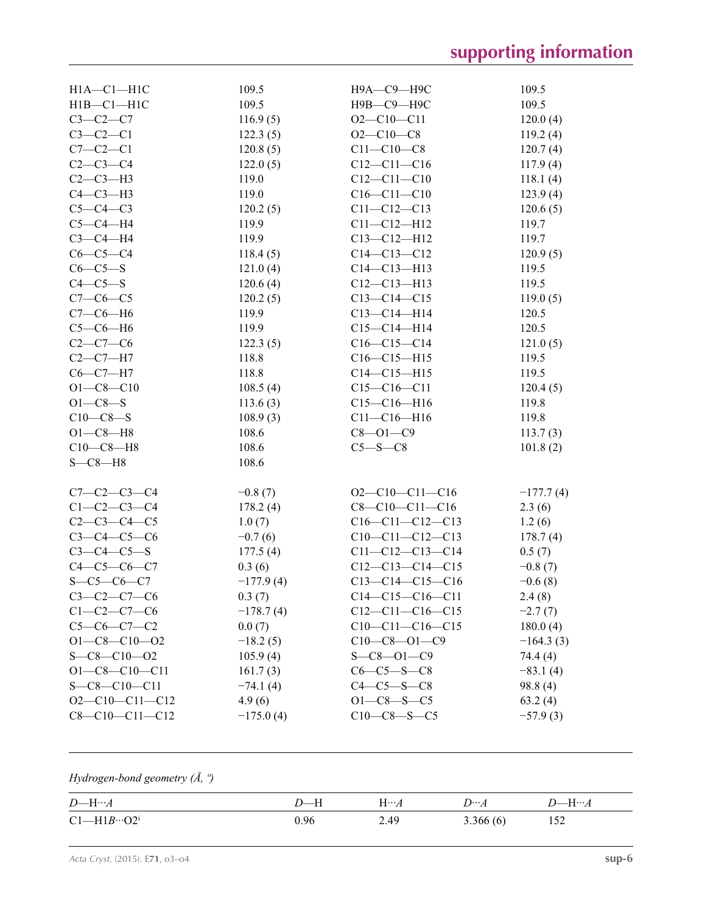| $H1A - C1 - H1C$       | 109.5       | Н9А-С9-Н9С         | 109.5       |
|------------------------|-------------|--------------------|-------------|
| $H1B - C1 - H1C$       | 109.5       | Н9В-С9-Н9С         | 109.5       |
| $C3 - C2 - C7$         | 116.9(5)    | $O2 - C10 - C11$   | 120.0(4)    |
| $C3-C2-C1$             | 122.3(5)    | $O2 - C10 - C8$    | 119.2(4)    |
| $C7-C2-C1$             | 120.8(5)    | $C11 - C10 - C8$   | 120.7(4)    |
| $C2-C3-C4$             | 122.0(5)    | $C12 - C11 - C16$  | 117.9(4)    |
| $C2-C3-H3$             | 119.0       | $C12 - C11 - C10$  | 118.1(4)    |
| $C4-C3-H3$             | 119.0       | $C16 - C11 - C10$  | 123.9(4)    |
| $C5-C4-C3$             | 120.2(5)    | $C11 - C12 - C13$  | 120.6(5)    |
| $C5-C4-H4$             | 119.9       | $C11 - C12 - H12$  | 119.7       |
| $C3-C4-H4$             | 119.9       | $C13 - C12 - H12$  | 119.7       |
| $C6-C5-C4$             | 118.4(5)    | $C14 - C13 - C12$  | 120.9(5)    |
| $C6-C5-S$              | 121.0(4)    | $C14 - C13 - H13$  | 119.5       |
| $C4-C5-S$              | 120.6(4)    | $C12 - C13 - H13$  | 119.5       |
| $C7-C6-C5$             | 120.2(5)    | $C13 - C14 - C15$  | 119.0(5)    |
| $C7-C6-H6$             | 119.9       | $C13 - C14 - H14$  | 120.5       |
| $C5-C6-H6$             | 119.9       | $C15 - C14 - H14$  | 120.5       |
| $C2-C7-C6$             | 122.3(5)    | $C16-C15-C14$      | 121.0(5)    |
| $C2-C7-H7$             | 118.8       | $C16-C15-H15$      | 119.5       |
| $C6-C7-H7$             | 118.8       | $C14 - C15 - H15$  | 119.5       |
| $O1 - C8 - C10$        | 108.5(4)    | $C15-C16-C11$      | 120.4(5)    |
| $O1 - C8 - S$          | 113.6(3)    | $C15-C16-H16$      | 119.8       |
| $C10-C8-S$             | 108.9(3)    | $C11 - C16 - H16$  | 119.8       |
| $O1 - C8 - H8$         | 108.6       | $C8 - O1 - C9$     | 113.7(3)    |
| $C10-C8 - H8$          | 108.6       | $C5 - S - C8$      | 101.8(2)    |
| $S - C8 - H8$          | 108.6       |                    |             |
|                        |             |                    |             |
| $C7 - C2 - C3 - C4$    | $-0.8(7)$   | $O2-C10-C11-C16$   | $-177.7(4)$ |
| $C1 - C2 - C3 - C4$    | 178.2(4)    | $C8-C10-C11-C16$   | 2.3(6)      |
| $C2 - C3 - C4 - C5$    | 1.0(7)      | $C16-C11-C12-C13$  | 1.2(6)      |
| $C3 - C4 - C5 - C6$    | $-0.7(6)$   | $C10-C11-C12-C13$  | 178.7(4)    |
| $C3 - C4 - C5 - S$     | 177.5(4)    | $C11-C12-C13-C14$  | 0.5(7)      |
| $C4 - C5 - C6 - C7$    | 0.3(6)      | $C12-C13-C14-C15$  | $-0.8(7)$   |
| $S-C5-C6-C7$           | $-177.9(4)$ | $C13-C14-C15-C16$  | $-0.6(8)$   |
| $C3-C2-C7-C6$          | 0.3(7)      | $C14-C15-C16-C11$  | 2.4(8)      |
| $C1 - C2 - C7 - C6$    | $-178.7(4)$ | $C12-C11-C16-C15$  | $-2.7(7)$   |
| $C5-C6-C7-C2$          | 0.0(7)      | $C10-C11-C16-C15$  | 180.0(4)    |
| $O1 - C8 - C10 - O2$   | $-18.2(5)$  | $C10-C8 - 01-C9$   | $-164.3(3)$ |
| $S - C8 - C10 - 02$    | 105.9(4)    | $S - C8 - 01 - C9$ | 74.4 (4)    |
| $O1 - C8 - C10 - C11$  | 161.7(3)    | $C6-C5-S-C8$       | $-83.1(4)$  |
| $S - C8 - C10 - C11$   | $-74.1(4)$  | $C4-C5-S-C8$       | 98.8(4)     |
| $O2-C10-C11-C12$       | 4.9(6)      | $O1 - C8 - S - C5$ | 63.2(4)     |
| $C8 - C10 - C11 - C12$ | $-175.0(4)$ | $C10-C8-S-C5$      | $-57.9(3)$  |

# *Hydrogen-bond geometry (Å, º)*

| $D$ —H… $A$                   |      | $H\cdots A$ | $D^{}A$  | $D$ —H… $A$ |
|-------------------------------|------|-------------|----------|-------------|
| $Cl$ —H1 $B$ …O2 <sup>i</sup> | 0.96 | 2.49        | 3.366(6) | 152         |

*Acta Cryst.* (2015). E**71**, o3–o4 **sup-6**